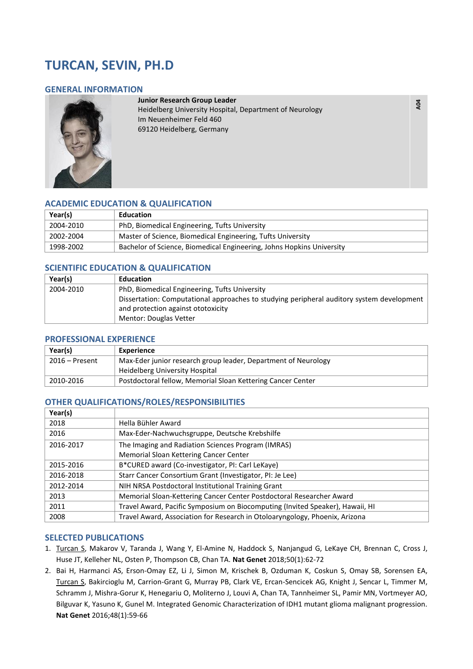# **TURCAN, SEVIN, PH.D**

#### **GENERAL INFORMATION**



#### **Junior Research Group Leader**

Heidelberg University Hospital, Department of Neurology Im Neuenheimer Feld 460 69120 Heidelberg, Germany

## **ACADEMIC EDUCATION & QUALIFICATION**

| Year(s)   | <b>Education</b>                                                      |
|-----------|-----------------------------------------------------------------------|
| 2004-2010 | PhD, Biomedical Engineering, Tufts University                         |
| 2002-2004 | Master of Science, Biomedical Engineering, Tufts University           |
| 1998-2002 | Bachelor of Science, Biomedical Engineering, Johns Hopkins University |

## **SCIENTIFIC EDUCATION & QUALIFICATION**

| Year(s)   | Education                                                                                 |
|-----------|-------------------------------------------------------------------------------------------|
| 2004-2010 | PhD, Biomedical Engineering, Tufts University                                             |
|           | Dissertation: Computational approaches to studying peripheral auditory system development |
|           | and protection against ototoxicity                                                        |
|           | Mentor: Douglas Vetter                                                                    |

#### **PROFESSIONAL EXPERIENCE**

| Year(s)        | Experience                                                     |
|----------------|----------------------------------------------------------------|
| 2016 – Present | Max-Eder junior research group leader, Department of Neurology |
|                | Heidelberg University Hospital                                 |
| 2010-2016      | Postdoctoral fellow, Memorial Sloan Kettering Cancer Center    |

## **OTHER QUALIFICATIONS/ROLES/RESPONSIBILITIES**

| Year(s)   |                                                                               |
|-----------|-------------------------------------------------------------------------------|
| 2018      | Hella Bühler Award                                                            |
| 2016      | Max-Eder-Nachwuchsgruppe, Deutsche Krebshilfe                                 |
| 2016-2017 | The Imaging and Radiation Sciences Program (IMRAS)                            |
|           | Memorial Sloan Kettering Cancer Center                                        |
| 2015-2016 | B*CURED award (Co-investigator, PI: Carl LeKaye)                              |
| 2016-2018 | Starr Cancer Consortium Grant (Investigator, PI: Je Lee)                      |
| 2012-2014 | NIH NRSA Postdoctoral Institutional Training Grant                            |
| 2013      | Memorial Sloan-Kettering Cancer Center Postdoctoral Researcher Award          |
| 2011      | Travel Award, Pacific Symposium on Biocomputing (Invited Speaker), Hawaii, HI |
| 2008      | Travel Award, Association for Research in Otoloaryngology, Phoenix, Arizona   |

#### **SELECTED PUBLICATIONS**

- 1. Turcan S, Makarov V, Taranda J, Wang Y, El-Amine N, Haddock S, Nanjangud G, LeKaye CH, Brennan C, Cross J, Huse JT, Kelleher NL, Osten P, Thompson CB, Chan TA. **Nat Genet** 2018;50(1):62-72
- 2. Bai H, Harmanci AS, Erson-Omay EZ, Li J, Simon M, Krischek B, Ozduman K, Coskun S, Omay SB, Sorensen EA, Turcan S, Bakircioglu M, Carrion-Grant G, Murray PB, Clark VE, Ercan-Sencicek AG, Knight J, Sencar L, Timmer M, Schramm J, Mishra-Gorur K, Henegariu O, Moliterno J, Louvi A, Chan TA, Tannheimer SL, Pamir MN, Vortmeyer AO, Bilguvar K, Yasuno K, Gunel M. Integrated Genomic Characterization of IDH1 mutant glioma malignant progression. **Nat Genet** 2016;48(1):59-66

**A04**